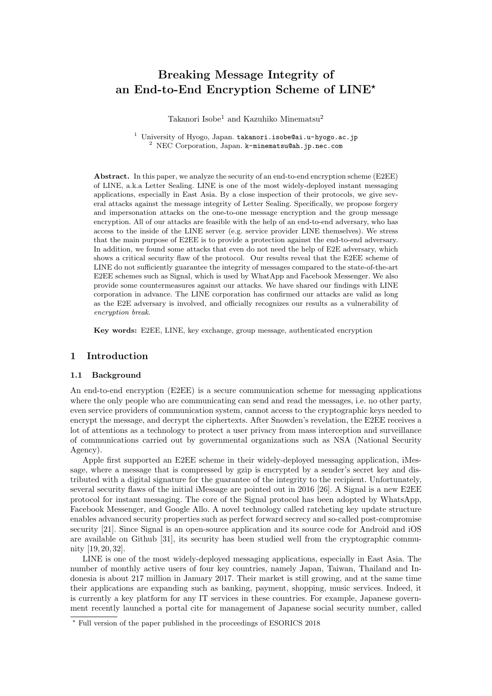# Breaking Message Integrity of an End-to-End Encryption Scheme of LINE?

Takanori Isobe<sup>1</sup> and Kazuhiko Minematsu<sup>2</sup>

<sup>1</sup> University of Hyogo, Japan. takanori.isobe@ai.u-hyogo.ac.jp  $^2$  NEC Corporation, Japan. k-minematsu@ah.jp.nec.com

Abstract. In this paper, we analyze the security of an end-to-end encryption scheme (E2EE) of LINE, a.k.a Letter Sealing. LINE is one of the most widely-deployed instant messaging applications, especially in East Asia. By a close inspection of their protocols, we give several attacks against the message integrity of Letter Sealing. Specifically, we propose forgery and impersonation attacks on the one-to-one message encryption and the group message encryption. All of our attacks are feasible with the help of an end-to-end adversary, who has access to the inside of the LINE server (e.g. service provider LINE themselves). We stress that the main purpose of E2EE is to provide a protection against the end-to-end adversary. In addition, we found some attacks that even do not need the help of E2E adversary, which shows a critical security flaw of the protocol. Our results reveal that the E2EE scheme of LINE do not sufficiently guarantee the integrity of messages compared to the state-of-the-art E2EE schemes such as Signal, which is used by WhatApp and Facebook Messenger. We also provide some countermeasures against our attacks. We have shared our findings with LINE corporation in advance. The LINE corporation has confirmed our attacks are valid as long as the E2E adversary is involved, and officially recognizes our results as a vulnerability of encryption break.

Key words: E2EE, LINE, key exchange, group message, authenticated encryption

# 1 Introduction

## 1.1 Background

An end-to-end encryption (E2EE) is a secure communication scheme for messaging applications where the only people who are communicating can send and read the messages, i.e. no other party, even service providers of communication system, cannot access to the cryptographic keys needed to encrypt the message, and decrypt the ciphertexts. After Snowden's revelation, the E2EE receives a lot of attentions as a technology to protect a user privacy from mass interception and surveillance of communications carried out by governmental organizations such as NSA (National Security Agency).

Apple first supported an E2EE scheme in their widely-deployed messaging application, iMessage, where a message that is compressed by gzip is encrypted by a sender's secret key and distributed with a digital signature for the guarantee of the integrity to the recipient. Unfortunately, several security flaws of the initial iMessage are pointed out in 2016 [26]. A Signal is a new E2EE protocol for instant messaging. The core of the Signal protocol has been adopted by WhatsApp, Facebook Messenger, and Google Allo. A novel technology called ratcheting key update structure enables advanced security properties such as perfect forward secrecy and so-called post-compromise security [21]. Since Signal is an open-source application and its source code for Android and iOS are available on Github [31], its security has been studied well from the cryptographic community [19, 20, 32].

LINE is one of the most widely-deployed messaging applications, especially in East Asia. The number of monthly active users of four key countries, namely Japan, Taiwan, Thailand and Indonesia is about 217 million in January 2017. Their market is still growing, and at the same time their applications are expanding such as banking, payment, shopping, music services. Indeed, it is currently a key platform for any IT services in these countries. For example, Japanese government recently launched a portal cite for management of Japanese social security number, called

<sup>?</sup> Full version of the paper published in the proceedings of ESORICS 2018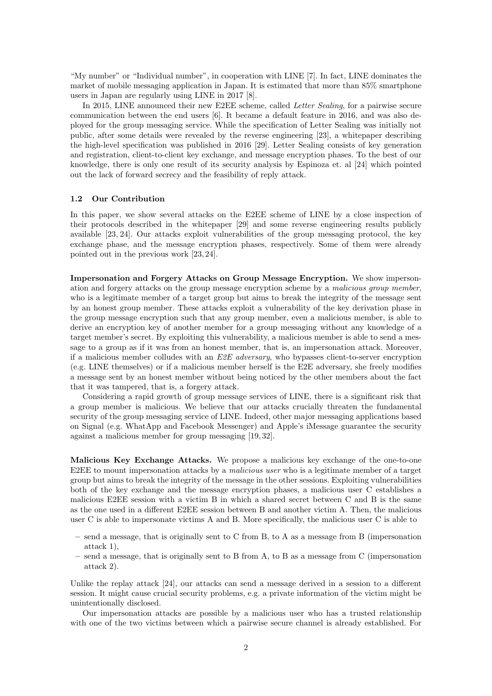"My number" or "Individual number", in cooperation with LINE [7]. In fact, LINE dominates the market of mobile messaging application in Japan. It is estimated that more than 85% smartphone users in Japan are regularly using LINE in 2017 [8].

In 2015, LINE announced their new E2EE scheme, called Letter Sealing, for a pairwise secure communication between the end users [6]. It became a default feature in 2016, and was also deployed for the group messaging service. While the specification of Letter Sealing was initially not public, after some details were revealed by the reverse engineering [23], a whitepaper describing the high-level specification was published in 2016 [29]. Letter Sealing consists of key generation and registration, client-to-client key exchange, and message encryption phases. To the best of our knowledge, there is only one result of its security analysis by Espinoza et. al [24] which pointed out the lack of forward secrecy and the feasibility of reply attack.

### 1.2 Our Contribution

In this paper, we show several attacks on the E2EE scheme of LINE by a close inspection of their protocols described in the whitepaper [29] and some reverse engineering results publicly available [23, 24]. Our attacks exploit vulnerabilities of the group messaging protocol, the key exchange phase, and the message encryption phases, respectively. Some of them were already pointed out in the previous work [23, 24].

Impersonation and Forgery Attacks on Group Message Encryption. We show impersonation and forgery attacks on the group message encryption scheme by a malicious group member, who is a legitimate member of a target group but aims to break the integrity of the message sent by an honest group member. These attacks exploit a vulnerability of the key derivation phase in the group message encryption such that any group member, even a malicious member, is able to derive an encryption key of another member for a group messaging without any knowledge of a target member's secret. By exploiting this vulnerability, a malicious member is able to send a message to a group as if it was from an honest member, that is, an impersonation attack. Moreover, if a malicious member colludes with an  $E2E$  adversary, who bypasses client-to-server encryption (e.g. LINE themselves) or if a malicious member herself is the E2E adversary, she freely modifies a message sent by an honest member without being noticed by the other members about the fact that it was tampered, that is, a forgery attack.

Considering a rapid growth of group message services of LINE, there is a significant risk that a group member is malicious. We believe that our attacks crucially threaten the fundamental security of the group messaging service of LINE. Indeed, other major messaging applications based on Signal (e.g. WhatApp and Facebook Messenger) and Apple's iMessage guarantee the security against a malicious member for group messaging [19, 32].

Malicious Key Exchange Attacks. We propose a malicious key exchange of the one-to-one E2EE to mount impersonation attacks by a *malicious user* who is a legitimate member of a target group but aims to break the integrity of the message in the other sessions. Exploiting vulnerabilities both of the key exchange and the message encryption phases, a malicious user C establishes a malicious E2EE session with a victim B in which a shared secret between C and B is the same as the one used in a different E2EE session between B and another victim A. Then, the malicious user C is able to impersonate victims A and B. More specifically, the malicious user C is able to

- send a message, that is originally sent to C from B, to A as a message from B (impersonation attack 1),
- send a message, that is originally sent to B from A, to B as a message from C (impersonation attack 2).

Unlike the replay attack [24], our attacks can send a message derived in a session to a different session. It might cause crucial security problems, e.g. a private information of the victim might be unintentionally disclosed.

Our impersonation attacks are possible by a malicious user who has a trusted relationship with one of the two victims between which a pairwise secure channel is already established. For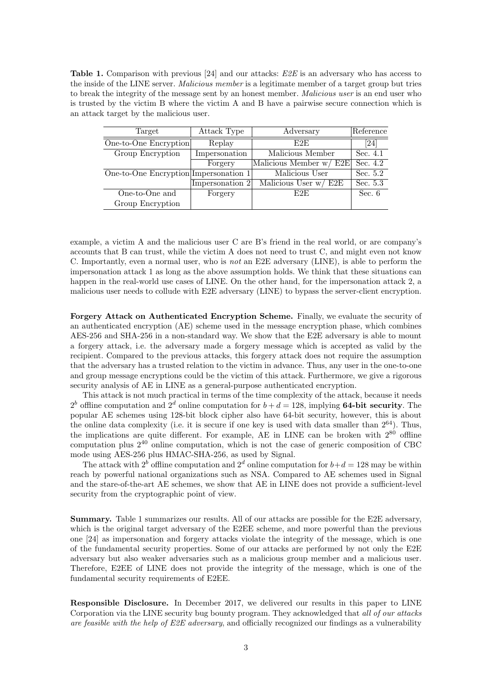Table 1. Comparison with previous [24] and our attacks: E2E is an adversary who has access to the inside of the LINE server. *Malicious member* is a legitimate member of a target group but tries to break the integrity of the message sent by an honest member. *Malicious user* is an end user who is trusted by the victim B where the victim A and B have a pairwise secure connection which is an attack target by the malicious user.

| Target                                | Attack Type     | Adversary                | Reference |
|---------------------------------------|-----------------|--------------------------|-----------|
| One-to-One Encryption                 | Replay          | E2E                      | [24]      |
| Group Encryption                      | Impersonation   | Malicious Member         | Sec. 4.1  |
|                                       | Forgery         | Malicious Member w/ E2E  | Sec. 4.2  |
| One-to-One Encryption Impersonation 1 |                 | Malicious User           | Sec. 5.2  |
|                                       | Impersonation 2 | Malicious User $w / E2E$ | Sec. 5.3  |
| One-to-One and                        | Forgery         | E2E                      | Sec. 6    |
| Group Encryption                      |                 |                          |           |

example, a victim A and the malicious user C are B's friend in the real world, or are company's accounts that B can trust, while the victim A does not need to trust C, and might even not know C. Importantly, even a normal user, who is not an E2E adversary (LINE), is able to perform the impersonation attack 1 as long as the above assumption holds. We think that these situations can happen in the real-world use cases of LINE. On the other hand, for the impersonation attack 2, a malicious user needs to collude with E2E adversary (LINE) to bypass the server-client encryption.

Forgery Attack on Authenticated Encryption Scheme. Finally, we evaluate the security of an authenticated encryption (AE) scheme used in the message encryption phase, which combines AES-256 and SHA-256 in a non-standard way. We show that the E2E adversary is able to mount a forgery attack, i.e. the adversary made a forgery message which is accepted as valid by the recipient. Compared to the previous attacks, this forgery attack does not require the assumption that the adversary has a trusted relation to the victim in advance. Thus, any user in the one-to-one and group message encryptions could be the victim of this attack. Furthermore, we give a rigorous security analysis of AE in LINE as a general-purpose authenticated encryption.

This attack is not much practical in terms of the time complexity of the attack, because it needs  $2^b$  offline computation and  $2^d$  online computation for  $b + d = 128$ , implying **64-bit security**. The popular AE schemes using 128-bit block cipher also have 64-bit security, however, this is about the online data complexity (i.e. it is secure if one key is used with data smaller than  $2^{64}$ ). Thus, the implications are quite different. For example,  $AE$  in LINE can be broken with  $2^{80}$  offline computation plus  $2^{40}$  online computation, which is not the case of generic composition of CBC mode using AES-256 plus HMAC-SHA-256, as used by Signal.

The attack with  $2^b$  offline computation and  $2^d$  online computation for  $b+d = 128$  may be within reach by powerful national organizations such as NSA. Compared to AE schemes used in Signal and the stare-of-the-art AE schemes, we show that AE in LINE does not provide a sufficient-level security from the cryptographic point of view.

Summary. Table 1 summarizes our results. All of our attacks are possible for the E2E adversary, which is the original target adversary of the E2EE scheme, and more powerful than the previous one [24] as impersonation and forgery attacks violate the integrity of the message, which is one of the fundamental security properties. Some of our attacks are performed by not only the E2E adversary but also weaker adversaries such as a malicious group member and a malicious user. Therefore, E2EE of LINE does not provide the integrity of the message, which is one of the fundamental security requirements of E2EE.

Responsible Disclosure. In December 2017, we delivered our results in this paper to LINE Corporation via the LINE security bug bounty program. They acknowledged that all of our attacks are feasible with the help of E2E adversary, and officially recognized our findings as a vulnerability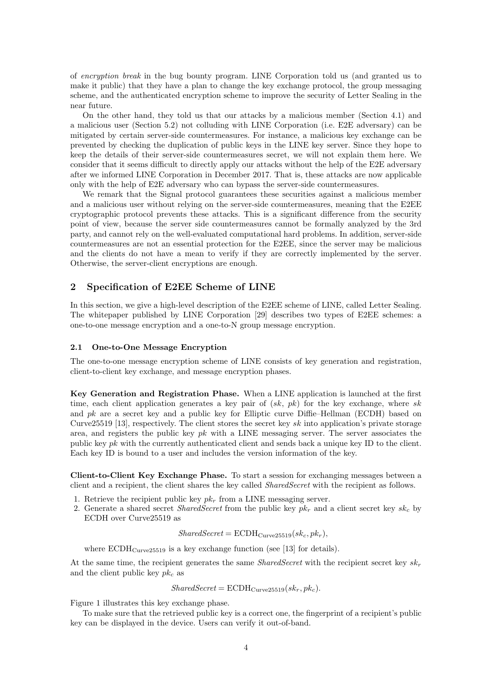of encryption break in the bug bounty program. LINE Corporation told us (and granted us to make it public) that they have a plan to change the key exchange protocol, the group messaging scheme, and the authenticated encryption scheme to improve the security of Letter Sealing in the near future.

On the other hand, they told us that our attacks by a malicious member (Section 4.1) and a malicious user (Section 5.2) not colluding with LINE Corporation (i.e. E2E adversary) can be mitigated by certain server-side countermeasures. For instance, a malicious key exchange can be prevented by checking the duplication of public keys in the LINE key server. Since they hope to keep the details of their server-side countermeasures secret, we will not explain them here. We consider that it seems difficult to directly apply our attacks without the help of the E2E adversary after we informed LINE Corporation in December 2017. That is, these attacks are now applicable only with the help of E2E adversary who can bypass the server-side countermeasures.

We remark that the Signal protocol guarantees these securities against a malicious member and a malicious user without relying on the server-side countermeasures, meaning that the E2EE cryptographic protocol prevents these attacks. This is a significant difference from the security point of view, because the server side countermeasures cannot be formally analyzed by the 3rd party, and cannot rely on the well-evaluated computational hard problems. In addition, server-side countermeasures are not an essential protection for the E2EE, since the server may be malicious and the clients do not have a mean to verify if they are correctly implemented by the server. Otherwise, the server-client encryptions are enough.

# 2 Specification of E2EE Scheme of LINE

In this section, we give a high-level description of the E2EE scheme of LINE, called Letter Sealing. The whitepaper published by LINE Corporation [29] describes two types of E2EE schemes: a one-to-one message encryption and a one-to-N group message encryption.

#### 2.1 One-to-One Message Encryption

The one-to-one message encryption scheme of LINE consists of key generation and registration, client-to-client key exchange, and message encryption phases.

Key Generation and Registration Phase. When a LINE application is launched at the first time, each client application generates a key pair of  $(sk, pk)$  for the key exchange, where sk and  $pk$  are a secret key and a public key for Elliptic curve Diffie–Hellman (ECDH) based on Curve25519 [13], respectively. The client stores the secret key sk into application's private storage area, and registers the public key  $pk$  with a LINE messaging server. The server associates the public key  $pk$  with the currently authenticated client and sends back a unique key ID to the client. Each key ID is bound to a user and includes the version information of the key.

Client-to-Client Key Exchange Phase. To start a session for exchanging messages between a client and a recipient, the client shares the key called *SharedSecret* with the recipient as follows.

- 1. Retrieve the recipient public key  $pk<sub>r</sub>$  from a LINE messaging server.
- 2. Generate a shared secret *SharedSecret* from the public key  $pk<sub>r</sub>$  and a client secret key  $sk<sub>c</sub>$  by ECDH over Curve25519 as

$$
SharedSecret = \text{ECDH}_{\text{Curve25519}}(sk_c, pk_r),
$$

where  $ECDH_{Curve25519}$  is a key exchange function (see [13] for details).

At the same time, the recipient generates the same *SharedSecret* with the recipient secret key  $sk_r$ and the client public key  $pk_c$  as

$$
SharedSecret = \text{ECDH}_{\text{Curve25519}}(sk_r, pk_c).
$$

Figure 1 illustrates this key exchange phase.

To make sure that the retrieved public key is a correct one, the fingerprint of a recipient's public key can be displayed in the device. Users can verify it out-of-band.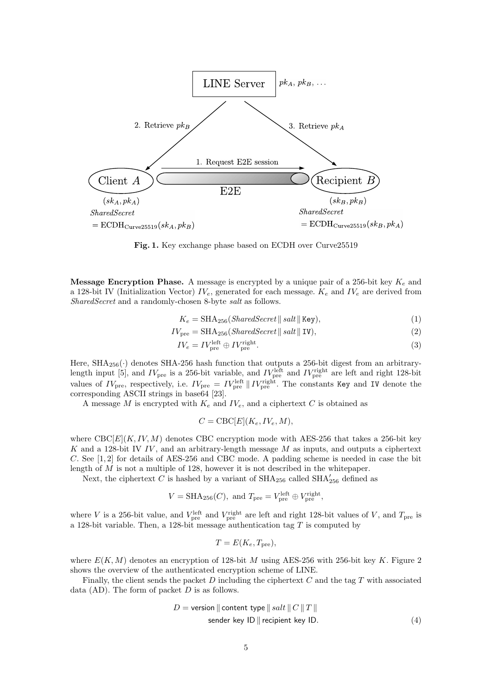

Fig. 1. Key exchange phase based on ECDH over Curve25519

**Message Encryption Phase.** A message is encrypted by a unique pair of a 256-bit key  $K_e$  and a 128-bit IV (Initialization Vector)  $IV_e$ , generated for each message.  $K_e$  and  $IV_e$  are derived from SharedSecret and a randomly-chosen 8-byte salt as follows.

$$
K_e = \text{SHA}_{256}(\text{SharedSecret} \parallel \text{salt} \parallel \text{Key}),\tag{1}
$$

$$
IV_{\text{pre}} = \text{SHA}_{256}(\text{SharedSecret} \parallel \text{salt} \parallel \text{IV}),\tag{2}
$$

$$
IV_e = IV_{\text{pre}}^{\text{left}} \oplus IV_{\text{pre}}^{\text{right}}.
$$
 (3)

Here,  $\text{SHA}_{256}(\cdot)$  denotes SHA-256 hash function that outputs a 256-bit digest from an arbitrarylength input [5], and  $IV_{\text{pre}}$  is a 256-bit variable, and  $IV_{\text{pre}}^{\text{left}}$  and  $IV_{\text{pre}}^{\text{right}}$  are left and right 128-bit values of  $IV_{\text{pre}}$ , respectively, i.e.  $IV_{\text{pre}} = IV_{\text{pre}}^{\text{left}} \parallel IV_{\text{pre}}^{\text{right}}$ . The constants Key and IV denote the corresponding ASCII strings in base64 [23].

A message M is encrypted with  $K_e$  and  $IV_e$ , and a ciphertext C is obtained as

$$
C = \text{CBC}[E](K_e, IV_e, M),
$$

where  $\text{CBC}[E](K, IV, M)$  denotes CBC encryption mode with AES-256 that takes a 256-bit key K and a 128-bit IV IV, and an arbitrary-length message  $M$  as inputs, and outputs a ciphertext C. See [1, 2] for details of AES-256 and CBC mode. A padding scheme is needed in case the bit length of M is not a multiple of 128, however it is not described in the whitepaper.

Next, the ciphertext C is hashed by a variant of  $\text{SHA}_{256}$  called  $\text{SHA}_{256}'$  defined as

$$
V = \text{SHA}_{256}(C)
$$
, and  $T_{\text{pre}} = V_{\text{pre}}^{\text{left}} \oplus V_{\text{pre}}^{\text{right}}$ ,

where V is a 256-bit value, and  $V_{\text{pre}}^{\text{left}}$  and  $V_{\text{pre}}^{\text{right}}$  are left and right 128-bit values of V, and  $T_{\text{pre}}$  is a 128-bit variable. Then, a 128-bit message authentication tag  $T$  is computed by

$$
T = E(K_e, T_{pre}),
$$

where  $E(K, M)$  denotes an encryption of 128-bit M using AES-256 with 256-bit key K. Figure 2 shows the overview of the authenticated encryption scheme of LINE.

Finally, the client sends the packet  $D$  including the ciphertext  $C$  and the tag  $T$  with associated data  $(AD)$ . The form of packet  $D$  is as follows.

$$
D = \text{version} \parallel \text{content type} \parallel salt \parallel C \parallel T \parallel
$$
  
sender key ID || recipient key ID. (4)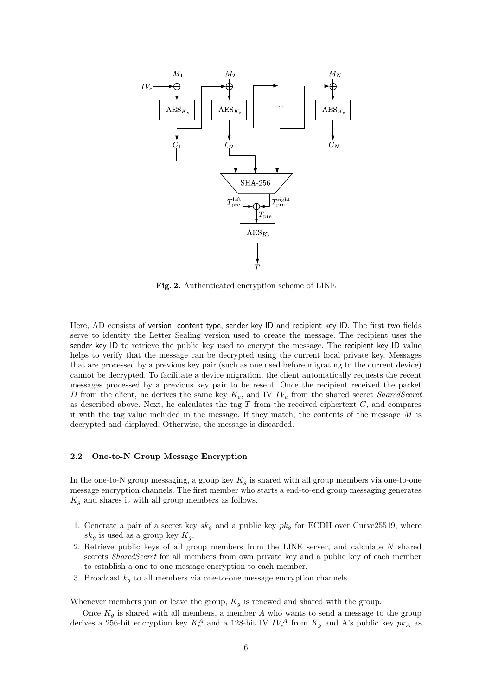

Fig. 2. Authenticated encryption scheme of LINE

Here, AD consists of version, content type, sender key ID and recipient key ID. The first two fields serve to identity the Letter Sealing version used to create the message. The recipient uses the sender key ID to retrieve the public key used to encrypt the message. The recipient key ID value helps to verify that the message can be decrypted using the current local private key. Messages that are processed by a previous key pair (such as one used before migrating to the current device) cannot be decrypted. To facilitate a device migration, the client automatically requests the recent messages processed by a previous key pair to be resent. Once the recipient received the packet D from the client, he derives the same key  $K_e$ , and IV  $IV_e$  from the shared secret *SharedSecret* as described above. Next, he calculates the tag  $T$  from the received ciphertext  $C$ , and compares it with the tag value included in the message. If they match, the contents of the message  $M$  is decrypted and displayed. Otherwise, the message is discarded.

## 2.2 One-to-N Group Message Encryption

In the one-to-N group messaging, a group key  $K_g$  is shared with all group members via one-to-one message encryption channels. The first member who starts a end-to-end group messaging generates  $K_g$  and shares it with all group members as follows.

- 1. Generate a pair of a secret key  $sk_g$  and a public key  $pk_g$  for ECDH over Curve25519, where  $sk_g$  is used as a group key  $K_g$ .
- 2. Retrieve public keys of all group members from the LINE server, and calculate  $N$  shared secrets *SharedSecret* for all members from own private key and a public key of each member to establish a one-to-one message encryption to each member.
- 3. Broadcast  $k_g$  to all members via one-to-one message encryption channels.

Whenever members join or leave the group,  $K_q$  is renewed and shared with the group.

Once  $K_g$  is shared with all members, a member A who wants to send a message to the group derives a 256-bit encryption key  $K_e^A$  and a 128-bit IV  $IV_e^A$  from  $K_g$  and A's public key  $pk_A$  as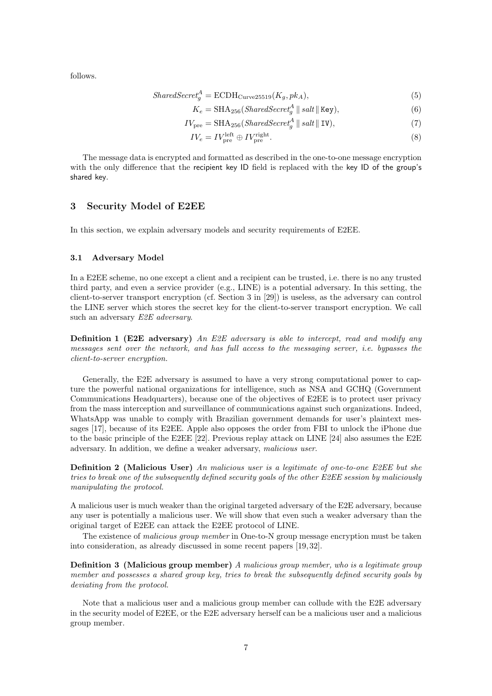follows.

$$
SharedSecret_g^A = \text{ECDH}_{\text{Curve25519}}(K_g, pk_A),\tag{5}
$$

$$
K_e = \text{SHA}_{256}(SharedSecret_g^A \parallel salt \parallel \text{Key}),\tag{6}
$$

$$
IV_{\text{pre}} = \text{SHA}_{256}(\text{SharedSecret}_g^A \parallel \text{salt} \parallel \text{IV}),\tag{7}
$$

$$
IV_e = IV_{\text{pre}}^{\text{left}} \oplus IV_{\text{pre}}^{\text{right}}.
$$
\n
$$
(8)
$$

The message data is encrypted and formatted as described in the one-to-one message encryption with the only difference that the recipient key ID field is replaced with the key ID of the group's shared key.

# 3 Security Model of E2EE

In this section, we explain adversary models and security requirements of E2EE.

## 3.1 Adversary Model

In a E2EE scheme, no one except a client and a recipient can be trusted, i.e. there is no any trusted third party, and even a service provider (e.g., LINE) is a potential adversary. In this setting, the client-to-server transport encryption (cf. Section 3 in [29]) is useless, as the adversary can control the LINE server which stores the secret key for the client-to-server transport encryption. We call such an adversary E2E adversary.

Definition 1 (E2E adversary) An E2E adversary is able to intercept, read and modify any messages sent over the network, and has full access to the messaging server, i.e. bypasses the client-to-server encryption.

Generally, the E2E adversary is assumed to have a very strong computational power to capture the powerful national organizations for intelligence, such as NSA and GCHQ (Government Communications Headquarters), because one of the objectives of E2EE is to protect user privacy from the mass interception and surveillance of communications against such organizations. Indeed, WhatsApp was unable to comply with Brazilian government demands for user's plaintext messages [17], because of its E2EE. Apple also opposes the order from FBI to unlock the iPhone due to the basic principle of the E2EE [22]. Previous replay attack on LINE [24] also assumes the E2E adversary. In addition, we define a weaker adversary, malicious user.

Definition 2 (Malicious User) An malicious user is a legitimate of one-to-one E2EE but she tries to break one of the subsequently defined security goals of the other E2EE session by maliciously manipulating the protocol.

A malicious user is much weaker than the original targeted adversary of the E2E adversary, because any user is potentially a malicious user. We will show that even such a weaker adversary than the original target of E2EE can attack the E2EE protocol of LINE.

The existence of malicious group member in One-to-N group message encryption must be taken into consideration, as already discussed in some recent papers [19, 32].

Definition 3 (Malicious group member) A malicious group member, who is a legitimate group member and possesses a shared group key, tries to break the subsequently defined security goals by deviating from the protocol.

Note that a malicious user and a malicious group member can collude with the E2E adversary in the security model of E2EE, or the E2E adversary herself can be a malicious user and a malicious group member.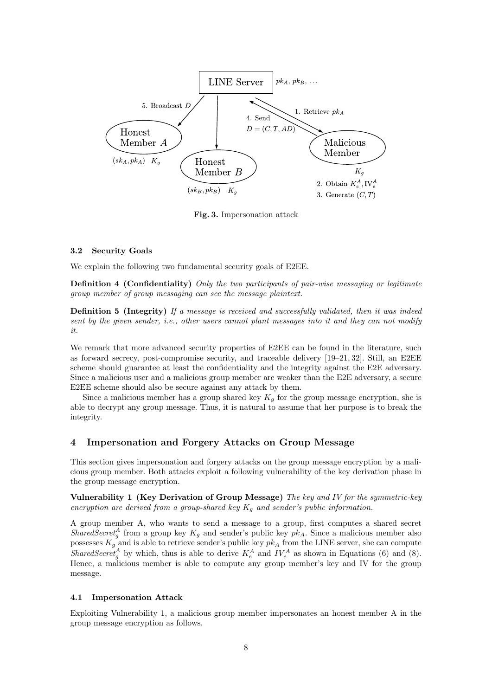

Fig. 3. Impersonation attack

#### 3.2 Security Goals

We explain the following two fundamental security goals of E2EE.

Definition 4 (Confidentiality) Only the two participants of pair-wise messaging or legitimate group member of group messaging can see the message plaintext.

Definition 5 (Integrity) If a message is received and successfully validated, then it was indeed sent by the given sender, i.e., other users cannot plant messages into it and they can not modify it.

We remark that more advanced security properties of E2EE can be found in the literature, such as forward secrecy, post-compromise security, and traceable delivery [19–21, 32]. Still, an E2EE scheme should guarantee at least the confidentiality and the integrity against the E2E adversary. Since a malicious user and a malicious group member are weaker than the E2E adversary, a secure E2EE scheme should also be secure against any attack by them.

Since a malicious member has a group shared key  $K_g$  for the group message encryption, she is able to decrypt any group message. Thus, it is natural to assume that her purpose is to break the integrity.

# 4 Impersonation and Forgery Attacks on Group Message

This section gives impersonation and forgery attacks on the group message encryption by a malicious group member. Both attacks exploit a following vulnerability of the key derivation phase in the group message encryption.

Vulnerability 1 (Key Derivation of Group Message) The key and IV for the symmetric-key encryption are derived from a group-shared key  $K_q$  and sender's public information.

A group member A, who wants to send a message to a group, first computes a shared secret SharedSecret<sup>A</sup> from a group key  $K_g$  and sender's public key  $pk_A$ . Since a malicious member also possesses  $K_g$  and is able to retrieve sender's public key  $pk_A$  from the LINE server, she can compute SharedSecret<sub>g</sub><sup>A</sup> by which, thus is able to derive  $K_e^A$  and  $IV_e^A$  as shown in Equations (6) and (8). Hence, a malicious member is able to compute any group member's key and IV for the group message.

## 4.1 Impersonation Attack

Exploiting Vulnerability 1, a malicious group member impersonates an honest member A in the group message encryption as follows.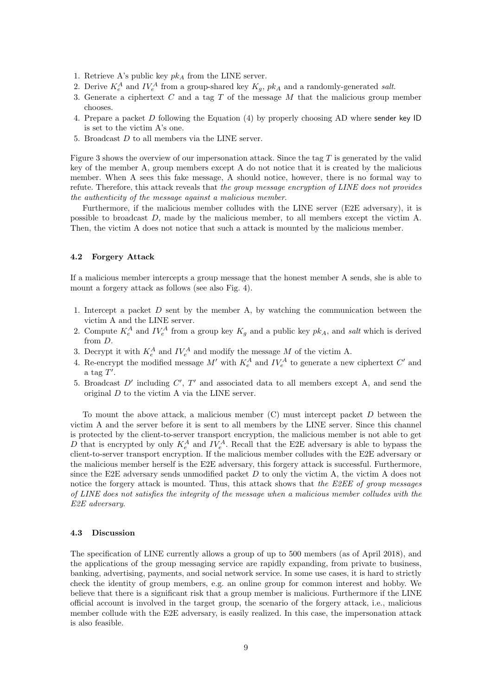- 1. Retrieve A's public key  $pk<sub>A</sub>$  from the LINE server.
- 2. Derive  $K_e^A$  and  $IV_e^A$  from a group-shared key  $K_g$ ,  $pk_A$  and a randomly-generated salt.
- 3. Generate a ciphertext C and a tag T of the message M that the malicious group member chooses.
- 4. Prepare a packet D following the Equation (4) by properly choosing AD where sender key ID is set to the victim A's one.
- 5. Broadcast D to all members via the LINE server.

Figure 3 shows the overview of our impersonation attack. Since the tag  $T$  is generated by the valid key of the member A, group members except A do not notice that it is created by the malicious member. When A sees this fake message, A should notice, however, there is no formal way to refute. Therefore, this attack reveals that the group message encryption of LINE does not provides the authenticity of the message against a malicious member.

Furthermore, if the malicious member colludes with the LINE server (E2E adversary), it is possible to broadcast D, made by the malicious member, to all members except the victim A. Then, the victim A does not notice that such a attack is mounted by the malicious member.

## 4.2 Forgery Attack

If a malicious member intercepts a group message that the honest member A sends, she is able to mount a forgery attack as follows (see also Fig. 4).

- 1. Intercept a packet  $D$  sent by the member A, by watching the communication between the victim A and the LINE server.
- 2. Compute  $K_e^A$  and  $IV_e^A$  from a group key  $K_g$  and a public key  $pk_A$ , and salt which is derived from D.
- 3. Decrypt it with  $K_e^A$  and  $IV_e^A$  and modify the message M of the victim A.
- 4. Re-encrypt the modified message  $M'$  with  $K_e^A$  and  $IV_e^A$  to generate a new ciphertext  $C'$  and a tag  $T'$ .
- 5. Broadcast  $D'$  including  $C'$ ,  $T'$  and associated data to all members except A, and send the original D to the victim A via the LINE server.

To mount the above attack, a malicious member  $(C)$  must intercept packet  $D$  between the victim A and the server before it is sent to all members by the LINE server. Since this channel is protected by the client-to-server transport encryption, the malicious member is not able to get D that is encrypted by only  $K_e^A$  and  $IV_e^A$ . Recall that the E2E adversary is able to bypass the client-to-server transport encryption. If the malicious member colludes with the E2E adversary or the malicious member herself is the E2E adversary, this forgery attack is successful. Furthermore, since the E2E adversary sends unmodified packet  $D$  to only the victim A, the victim A does not notice the forgery attack is mounted. Thus, this attack shows that the E2EE of group messages of LINE does not satisfies the integrity of the message when a malicious member colludes with the E2E adversary.

#### 4.3 Discussion

The specification of LINE currently allows a group of up to 500 members (as of April 2018), and the applications of the group messaging service are rapidly expanding, from private to business, banking, advertising, payments, and social network service. In some use cases, it is hard to strictly check the identity of group members, e.g. an online group for common interest and hobby. We believe that there is a significant risk that a group member is malicious. Furthermore if the LINE official account is involved in the target group, the scenario of the forgery attack, i.e., malicious member collude with the E2E adversary, is easily realized. In this case, the impersonation attack is also feasible.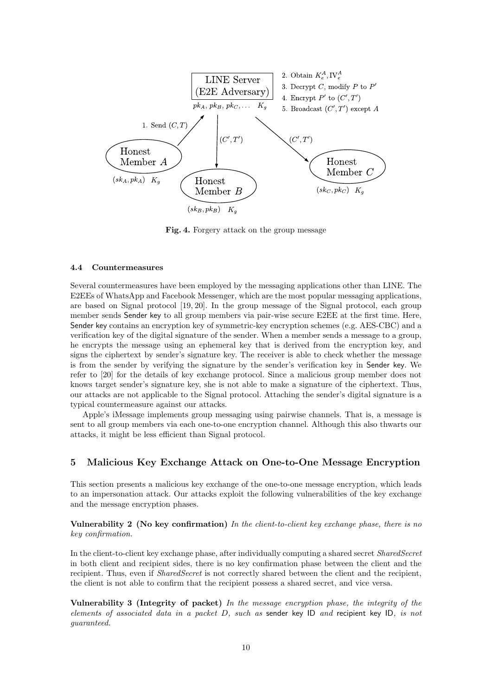

Fig. 4. Forgery attack on the group message

# 4.4 Countermeasures

Several countermeasures have been employed by the messaging applications other than LINE. The E2EEs of WhatsApp and Facebook Messenger, which are the most popular messaging applications, are based on Signal protocol [19, 20]. In the group message of the Signal protocol, each group member sends Sender key to all group members via pair-wise secure E2EE at the first time. Here, Sender key contains an encryption key of symmetric-key encryption schemes (e.g. AES-CBC) and a verification key of the digital signature of the sender. When a member sends a message to a group, he encrypts the message using an ephemeral key that is derived from the encryption key, and signs the ciphertext by sender's signature key. The receiver is able to check whether the message is from the sender by verifying the signature by the sender's verification key in Sender key. We refer to [20] for the details of key exchange protocol. Since a malicious group member does not knows target sender's signature key, she is not able to make a signature of the ciphertext. Thus, our attacks are not applicable to the Signal protocol. Attaching the sender's digital signature is a typical countermeasure against our attacks.

Apple's iMessage implements group messaging using pairwise channels. That is, a message is sent to all group members via each one-to-one encryption channel. Although this also thwarts our attacks, it might be less efficient than Signal protocol.

# 5 Malicious Key Exchange Attack on One-to-One Message Encryption

This section presents a malicious key exchange of the one-to-one message encryption, which leads to an impersonation attack. Our attacks exploit the following vulnerabilities of the key exchange and the message encryption phases.

Vulnerability 2 (No key confirmation) In the client-to-client key exchange phase, there is no key confirmation.

In the client-to-client key exchange phase, after individually computing a shared secret SharedSecret in both client and recipient sides, there is no key confirmation phase between the client and the recipient. Thus, even if *SharedSecret* is not correctly shared between the client and the recipient, the client is not able to confirm that the recipient possess a shared secret, and vice versa.

Vulnerability 3 (Integrity of packet) In the message encryption phase, the integrity of the elements of associated data in a packet D, such as sender key ID and recipient key ID, is not guaranteed.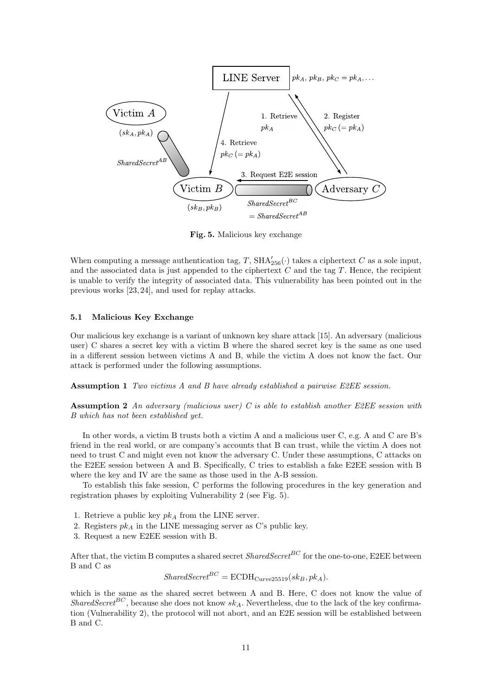

Fig. 5. Malicious key exchange

When computing a message authentication tag, T,  $\text{SHA}_{256}'(\cdot)$  takes a ciphertext C as a sole input, and the associated data is just appended to the ciphertext  $C$  and the tag  $T$ . Hence, the recipient is unable to verify the integrity of associated data. This vulnerability has been pointed out in the previous works [23, 24], and used for replay attacks.

#### 5.1 Malicious Key Exchange

Our malicious key exchange is a variant of unknown key share attack [15]. An adversary (malicious user) C shares a secret key with a victim B where the shared secret key is the same as one used in a different session between victims A and B, while the victim A does not know the fact. Our attack is performed under the following assumptions.

Assumption 1 Two victims A and B have already established a pairwise E2EE session.

**Assumption 2** An adversary (malicious user) C is able to establish another E2EE session with B which has not been established yet.

In other words, a victim B trusts both a victim A and a malicious user C, e.g. A and C are B's friend in the real world, or are company's accounts that B can trust, while the victim A does not need to trust C and might even not know the adversary C. Under these assumptions, C attacks on the E2EE session between A and B. Specifically, C tries to establish a fake E2EE session with B where the key and IV are the same as those used in the A-B session.

To establish this fake session, C performs the following procedures in the key generation and registration phases by exploiting Vulnerability 2 (see Fig. 5).

- 1. Retrieve a public key  $pk<sub>A</sub>$  from the LINE server.
- 2. Registers  $pk_A$  in the LINE messaging server as C's public key.
- 3. Request a new E2EE session with B.

After that, the victim B computes a shared secret  $SharedSecret^{BC}$  for the one-to-one, E2EE between B and C as

 $SharedSecret^{BC} = ECDH_{Curves 25519}(sk_B, pk_A).$ 

which is the same as the shared secret between A and B. Here, C does not know the value of SharedSecret<sup>BC</sup>, because she does not know  $sk_A$ . Nevertheless, due to the lack of the key confirmation (Vulnerability 2), the protocol will not abort, and an E2E session will be established between B and C.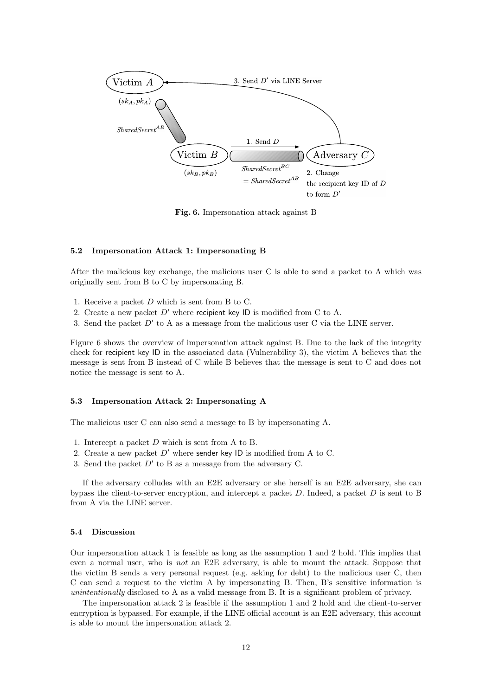

Fig. 6. Impersonation attack against B

#### 5.2 Impersonation Attack 1: Impersonating B

After the malicious key exchange, the malicious user C is able to send a packet to A which was originally sent from B to C by impersonating B.

- 1. Receive a packet D which is sent from B to C.
- 2. Create a new packet  $D'$  where recipient key ID is modified from C to A.
- 3. Send the packet  $D'$  to A as a message from the malicious user C via the LINE server.

Figure 6 shows the overview of impersonation attack against B. Due to the lack of the integrity check for recipient key ID in the associated data (Vulnerability 3), the victim A believes that the message is sent from B instead of C while B believes that the message is sent to C and does not notice the message is sent to A.

# 5.3 Impersonation Attack 2: Impersonating A

The malicious user C can also send a message to B by impersonating A.

- 1. Intercept a packet D which is sent from A to B.
- 2. Create a new packet  $D'$  where sender key ID is modified from A to C.
- 3. Send the packet  $D'$  to B as a message from the adversary C.

If the adversary colludes with an E2E adversary or she herself is an E2E adversary, she can bypass the client-to-server encryption, and intercept a packet  $D$ . Indeed, a packet  $D$  is sent to  $B$ from A via the LINE server.

#### 5.4 Discussion

Our impersonation attack 1 is feasible as long as the assumption 1 and 2 hold. This implies that even a normal user, who is not an E2E adversary, is able to mount the attack. Suppose that the victim B sends a very personal request (e.g. asking for debt) to the malicious user C, then C can send a request to the victim A by impersonating B. Then, B's sensitive information is unintentionally disclosed to A as a valid message from B. It is a significant problem of privacy.

The impersonation attack 2 is feasible if the assumption 1 and 2 hold and the client-to-server encryption is bypassed. For example, if the LINE official account is an E2E adversary, this account is able to mount the impersonation attack 2.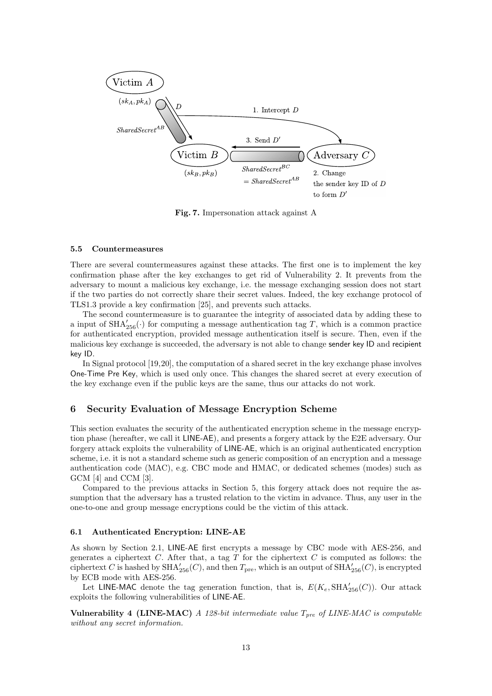

Fig. 7. Impersonation attack against A

#### 5.5 Countermeasures

There are several countermeasures against these attacks. The first one is to implement the key confirmation phase after the key exchanges to get rid of Vulnerability 2. It prevents from the adversary to mount a malicious key exchange, i.e. the message exchanging session does not start if the two parties do not correctly share their secret values. Indeed, the key exchange protocol of TLS1.3 provide a key confirmation [25], and prevents such attacks.

The second countermeasure is to guarantee the integrity of associated data by adding these to a input of  $\text{SHA}_{256}'$  or computing a message authentication tag T, which is a common practice for authenticated encryption, provided message authentication itself is secure. Then, even if the malicious key exchange is succeeded, the adversary is not able to change sender key ID and recipient key ID.

In Signal protocol [19,20], the computation of a shared secret in the key exchange phase involves One-Time Pre Key, which is used only once. This changes the shared secret at every execution of the key exchange even if the public keys are the same, thus our attacks do not work.

## 6 Security Evaluation of Message Encryption Scheme

This section evaluates the security of the authenticated encryption scheme in the message encryption phase (hereafter, we call it LINE-AE), and presents a forgery attack by the E2E adversary. Our forgery attack exploits the vulnerability of LINE-AE, which is an original authenticated encryption scheme, i.e. it is not a standard scheme such as generic composition of an encryption and a message authentication code (MAC), e.g. CBC mode and HMAC, or dedicated schemes (modes) such as GCM [4] and CCM [3].

Compared to the previous attacks in Section 5, this forgery attack does not require the assumption that the adversary has a trusted relation to the victim in advance. Thus, any user in the one-to-one and group message encryptions could be the victim of this attack.

#### 6.1 Authenticated Encryption: LINE-AE

As shown by Section 2.1, LINE-AE first encrypts a message by CBC mode with AES-256, and generates a ciphertext  $C$ . After that, a tag  $T$  for the ciphertext  $C$  is computed as follows: the ciphertext C is hashed by  $\text{SHA}_{256}'(C)$ , and then  $T_{\text{pre}}$ , which is an output of  $\text{SHA}_{256}'(C)$ , is encrypted by ECB mode with AES-256.

Let LINE-MAC denote the tag generation function, that is,  $E(K_e, \text{SHA}_{256}'(C))$ . Our attack exploits the following vulnerabilities of LINE-AE.

Vulnerability 4 (LINE-MAC) A 128-bit intermediate value  $T_{pre}$  of LINE-MAC is computable without any secret information.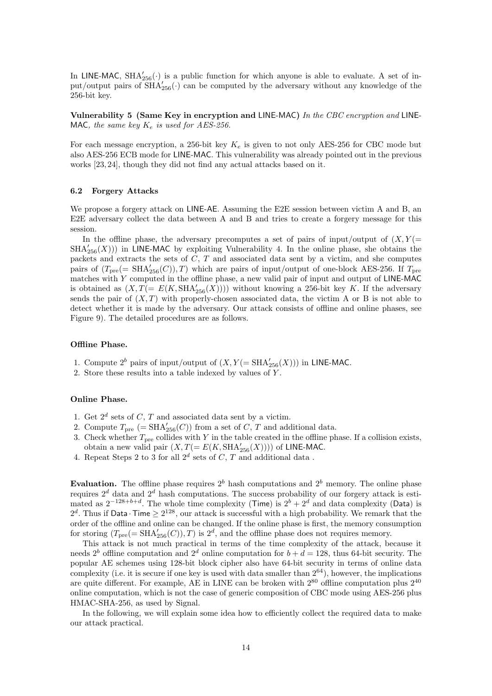In LINE-MAC,  $SHA_{256}'$  is a public function for which anyone is able to evaluate. A set of input/output pairs of  $\overline{SHA}_{256}'$  can be computed by the adversary without any knowledge of the 256-bit key.

Vulnerability 5 (Same Key in encryption and LINE-MAC) In the CBC encryption and LINE-MAC, the same key  $K_e$  is used for AES-256.

For each message encryption, a 256-bit key  $K_e$  is given to not only AES-256 for CBC mode but also AES-256 ECB mode for LINE-MAC. This vulnerability was already pointed out in the previous works [23, 24], though they did not find any actual attacks based on it.

# 6.2 Forgery Attacks

We propose a forgery attack on LINE-AE. Assuming the E2E session between victim A and B, an E2E adversary collect the data between A and B and tries to create a forgery message for this session.

In the offline phase, the adversary precomputes a set of pairs of input/output of  $(X, Y)$  $SHA'_{256}(X))$ ) in LINE-MAC by exploiting Vulnerability 4. In the online phase, she obtains the packets and extracts the sets of  $C, T$  and associated data sent by a victim, and she computes pairs of  $(T_{pre} (= SHA'_{256}(C)), T)$  which are pairs of input/output of one-block AES-256. If  $T_{pre}$ matches with Y computed in the offline phase, a new valid pair of input and output of LINE-MAC is obtained as  $(X, T(= E(K, SHA_{256}'(X))))$  without knowing a 256-bit key K. If the adversary sends the pair of  $(X, T)$  with properly-chosen associated data, the victim A or B is not able to detect whether it is made by the adversary. Our attack consists of offline and online phases, see Figure 9). The detailed procedures are as follows.

#### Offline Phase.

- 1. Compute  $2^b$  pairs of input/output of  $(X, Y(=\text{SHA}_{256}'(X)))$  in LINE-MAC.
- 2. Store these results into a table indexed by values of Y .

#### Online Phase.

- 1. Get  $2^d$  sets of C, T and associated data sent by a victim.
- 2. Compute  $T_{\text{pre}}$  (= SHA<sup> $\prime$ </sup><sub>256</sub>(C)) from a set of C, T and additional data.
- 3. Check whether  $T_{pre}$  collides with Y in the table created in the offline phase. If a collision exists, obtain a new valid pair  $(X, T(=E(K, \text{SHA}_{256}'(X))))$  of LINE-MAC.
- 4. Repeat Steps 2 to 3 for all  $2^d$  sets of C, T and additional data.

Evaluation. The offline phase requires  $2<sup>b</sup>$  hash computations and  $2<sup>b</sup>$  memory. The online phase requires  $2^d$  data and  $2^d$  hash computations. The success probability of our forgery attack is estimated as  $2^{-128+b+d}$ . The whole time complexity (Time) is  $2^{b} + 2^{d}$  and data complexity (Data) is  $2<sup>d</sup>$ . Thus if Data · Time  $\geq 2^{128}$ , our attack is successful with a high probability. We remark that the order of the offline and online can be changed. If the online phase is first, the memory consumption for storing  $(T_{pre} (= SHA'_{256}(C)), T)$  is  $2^d$ , and the offline phase does not requires memory.

This attack is not much practical in terms of the time complexity of the attack, because it needs  $2^{b}$  offline computation and  $2^{d}$  online computation for  $b + d = 128$ , thus 64-bit security. The popular AE schemes using 128-bit block cipher also have 64-bit security in terms of online data complexity (i.e. it is secure if one key is used with data smaller than  $2^{64}$ ), however, the implications are quite different. For example, AE in LINE can be broken with  $2^{80}$  offline computation plus  $2^{40}$ online computation, which is not the case of generic composition of CBC mode using AES-256 plus HMAC-SHA-256, as used by Signal.

In the following, we will explain some idea how to efficiently collect the required data to make our attack practical.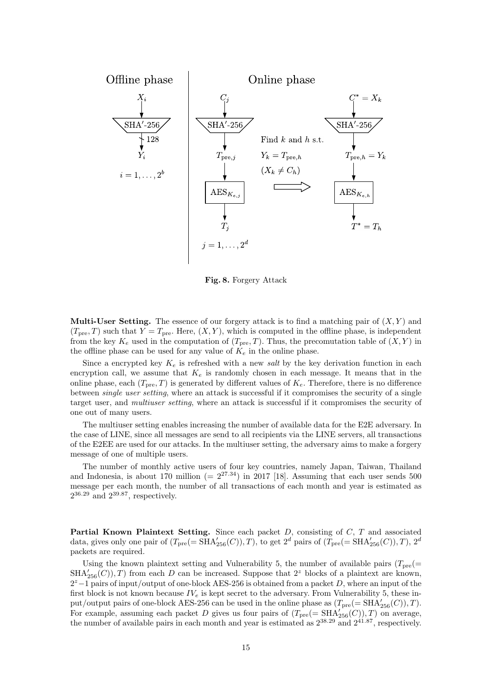

Fig. 8. Forgery Attack

**Multi-User Setting.** The essence of our forgery attack is to find a matching pair of  $(X, Y)$  and  $(T_{pre}, T)$  such that  $Y = T_{pre}$ . Here,  $(X, Y)$ , which is computed in the offline phase, is independent from the key  $K_e$  used in the computation of  $(T_{pre}, T)$ . Thus, the precomutation table of  $(X, Y)$  in the offline phase can be used for any value of  $K_e$  in the online phase.

Since a encrypted key  $K_e$  is refreshed with a new salt by the key derivation function in each encryption call, we assume that  $K_e$  is randomly chosen in each message. It means that in the online phase, each  $(T_{pre}, T)$  is generated by different values of  $K_e$ . Therefore, there is no difference between single user setting, where an attack is successful if it compromises the security of a single target user, and multiuser setting, where an attack is successful if it compromises the security of one out of many users.

The multiuser setting enables increasing the number of available data for the E2E adversary. In the case of LINE, since all messages are send to all recipients via the LINE servers, all transactions of the E2EE are used for our attacks. In the multiuser setting, the adversary aims to make a forgery message of one of multiple users.

The number of monthly active users of four key countries, namely Japan, Taiwan, Thailand and Indonesia, is about 170 million (=  $2^{27.34}$ ) in 2017 [18]. Assuming that each user sends 500 message per each month, the number of all transactions of each month and year is estimated as  $2^{36.29}$  and  $2^{39.87}$ , respectively.

**Partial Known Plaintext Setting.** Since each packet  $D$ , consisting of  $C$ ,  $T$  and associated data, gives only one pair of  $(T_{pre} (= SHA'_{256}(C)), T)$ , to get  $2<sup>d</sup>$  pairs of  $(T_{pre} (= SHA'_{256}(C)), T)$ ,  $2<sup>d</sup>$ packets are required.

Using the known plaintext setting and Vulnerability 5, the number of available pairs  $(T_{\text{pre}}(=$  $\text{SHA}_{256}(C)$ , T) from each D can be increased. Suppose that  $2^z$  blocks of a plaintext are known,  $2<sup>z</sup>-1$  pairs of input/output of one-block AES-256 is obtained from a packet D, where an input of the first block is not known because  $IV_e$  is kept secret to the adversary. From Vulnerability 5, these input/output pairs of one-block AES-256 can be used in the online phase as  $(T_{\text{pre}}(=SHA_{256}'(C)), T)$ . For example, assuming each packet D gives us four pairs of  $(T_{pre} (= SHA_{256}'(C)), T)$  on average, the number of available pairs in each month and year is estimated as  $2^{38.29}$  and  $2^{41.87}$ , respectively.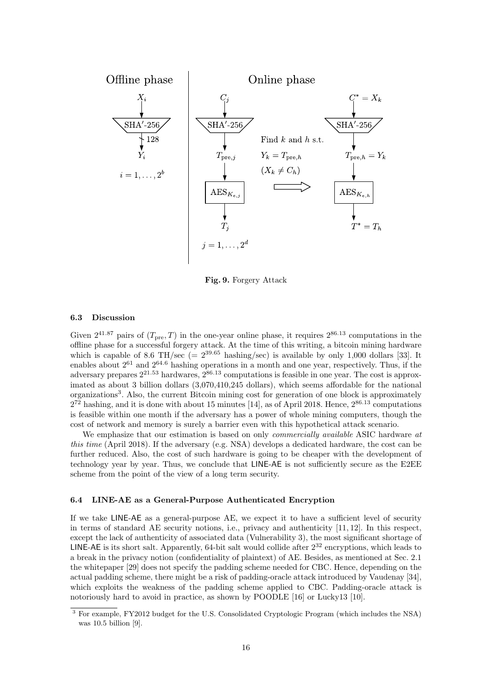

Fig. 9. Forgery Attack

#### 6.3 Discussion

Given  $2^{41.87}$  pairs of  $(T_{\text{pre}}, T)$  in the one-year online phase, it requires  $2^{86.13}$  computations in the offline phase for a successful forgery attack. At the time of this writing, a bitcoin mining hardware which is capable of 8.6 TH/sec (=  $2^{39.65}$  hashing/sec) is available by only 1,000 dollars [33]. It enables about  $2^{61}$  and  $2^{64.6}$  hashing operations in a month and one year, respectively. Thus, if the adversary prepares  $2^{21.53}$  hardwares,  $2^{86.13}$  computations is feasible in one year. The cost is approximated as about 3 billion dollars (3,070,410,245 dollars), which seems affordable for the national organizations<sup>3</sup>. Also, the current Bitcoin mining cost for generation of one block is approximately  $2^{72}$  hashing, and it is done with about 15 minutes [14], as of April 2018. Hence,  $2^{86.13}$  computations is feasible within one month if the adversary has a power of whole mining computers, though the cost of network and memory is surely a barrier even with this hypothetical attack scenario.

We emphasize that our estimation is based on only *commercially available* ASIC hardware at this time (April 2018). If the adversary (e.g. NSA) develops a dedicated hardware, the cost can be further reduced. Also, the cost of such hardware is going to be cheaper with the development of technology year by year. Thus, we conclude that LINE-AE is not sufficiently secure as the E2EE scheme from the point of the view of a long term security.

#### 6.4 LINE-AE as a General-Purpose Authenticated Encryption

If we take LINE-AE as a general-purpose AE, we expect it to have a sufficient level of security in terms of standard AE security notions, i.e., privacy and authenticity [11, 12]. In this respect, except the lack of authenticity of associated data (Vulnerability 3), the most significant shortage of LINE-AE is its short salt. Apparently, 64-bit salt would collide after  $2^{32}$  encryptions, which leads to a break in the privacy notion (confidentiality of plaintext) of AE. Besides, as mentioned at Sec. 2.1 the whitepaper [29] does not specify the padding scheme needed for CBC. Hence, depending on the actual padding scheme, there might be a risk of padding-oracle attack introduced by Vaudenay [34], which exploits the weakness of the padding scheme applied to CBC. Padding-oracle attack is notoriously hard to avoid in practice, as shown by POODLE [16] or Lucky13 [10].

<sup>3</sup> For example, FY2012 budget for the U.S. Consolidated Cryptologic Program (which includes the NSA) was 10.5 billion [9].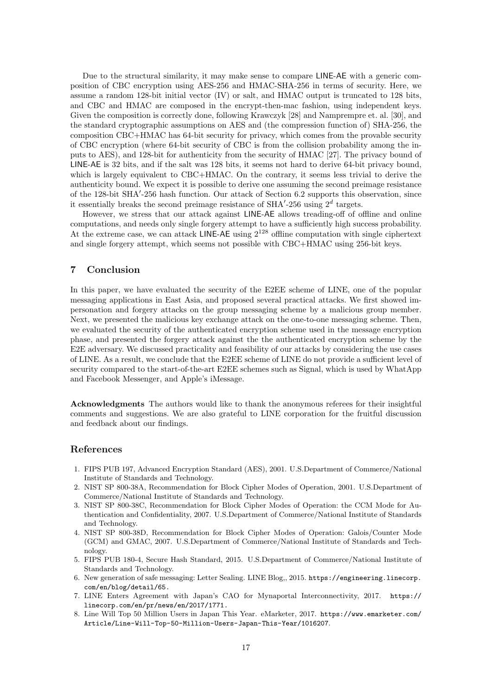Due to the structural similarity, it may make sense to compare LINE-AE with a generic composition of CBC encryption using AES-256 and HMAC-SHA-256 in terms of security. Here, we assume a random 128-bit initial vector (IV) or salt, and HMAC output is truncated to 128 bits, and CBC and HMAC are composed in the encrypt-then-mac fashion, using independent keys. Given the composition is correctly done, following Krawczyk [28] and Namprempre et. al. [30], and the standard cryptographic assumptions on AES and (the compression function of) SHA-256, the composition CBC+HMAC has 64-bit security for privacy, which comes from the provable security of CBC encryption (where 64-bit security of CBC is from the collision probability among the inputs to AES), and 128-bit for authenticity from the security of HMAC [27]. The privacy bound of LINE-AE is 32 bits, and if the salt was 128 bits, it seems not hard to derive 64-bit privacy bound, which is largely equivalent to CBC+HMAC. On the contrary, it seems less trivial to derive the authenticity bound. We expect it is possible to derive one assuming the second preimage resistance of the 128-bit SHA'-256 hash function. Our attack of Section 6.2 supports this observation, since it essentially breaks the second preimage resistance of SHA'-256 using  $2^d$  targets.

However, we stress that our attack against LINE-AE allows treading-off of offline and online computations, and needs only single forgery attempt to have a sufficiently high success probability. At the extreme case, we can attack LINE-AE using  $2^{128}$  offline computation with single ciphertext and single forgery attempt, which seems not possible with CBC+HMAC using 256-bit keys.

# 7 Conclusion

In this paper, we have evaluated the security of the E2EE scheme of LINE, one of the popular messaging applications in East Asia, and proposed several practical attacks. We first showed impersonation and forgery attacks on the group messaging scheme by a malicious group member. Next, we presented the malicious key exchange attack on the one-to-one messaging scheme. Then, we evaluated the security of the authenticated encryption scheme used in the message encryption phase, and presented the forgery attack against the the authenticated encryption scheme by the E2E adversary. We discussed practicality and feasibility of our attacks by considering the use cases of LINE. As a result, we conclude that the E2EE scheme of LINE do not provide a sufficient level of security compared to the start-of-the-art E2EE schemes such as Signal, which is used by WhatApp and Facebook Messenger, and Apple's iMessage.

Acknowledgments The authors would like to thank the anonymous referees for their insightful comments and suggestions. We are also grateful to LINE corporation for the fruitful discussion and feedback about our findings.

# References

- 1. FIPS PUB 197, Advanced Encryption Standard (AES), 2001. U.S.Department of Commerce/National Institute of Standards and Technology.
- 2. NIST SP 800-38A, Recommendation for Block Cipher Modes of Operation, 2001. U.S.Department of Commerce/National Institute of Standards and Technology.
- 3. NIST SP 800-38C, Recommendation for Block Cipher Modes of Operation: the CCM Mode for Authentication and Confidentiality, 2007. U.S.Department of Commerce/National Institute of Standards and Technology.
- 4. NIST SP 800-38D, Recommendation for Block Cipher Modes of Operation: Galois/Counter Mode (GCM) and GMAC, 2007. U.S.Department of Commerce/National Institute of Standards and Technology.
- 5. FIPS PUB 180-4, Secure Hash Standard, 2015. U.S.Department of Commerce/National Institute of Standards and Technology.
- 6. New generation of safe messaging: Letter Sealing. LINE Blog,, 2015. https://engineering.linecorp. com/en/blog/detail/65.
- 7. LINE Enters Agreement with Japan's CAO for Mynaportal Interconnectivity, 2017. https:// linecorp.com/en/pr/news/en/2017/1771.
- 8. Line Will Top 50 Million Users in Japan This Year. eMarketer, 2017. https://www.emarketer.com/ Article/Line-Will-Top-50-Million-Users-Japan-This-Year/1016207.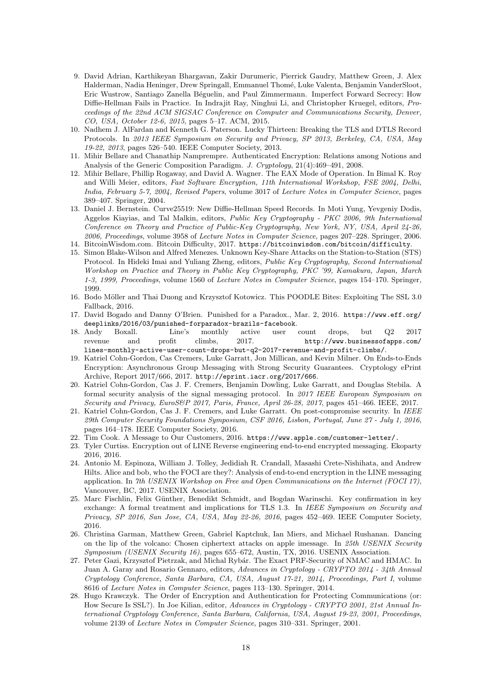- 9. David Adrian, Karthikeyan Bhargavan, Zakir Durumeric, Pierrick Gaudry, Matthew Green, J. Alex Halderman, Nadia Heninger, Drew Springall, Emmanuel Thom´e, Luke Valenta, Benjamin VanderSloot, Eric Wustrow, Santiago Zanella Béguelin, and Paul Zimmermann. Imperfect Forward Secrecy: How Diffie-Hellman Fails in Practice. In Indrajit Ray, Ninghui Li, and Christopher Kruegel, editors, Proceedings of the 22nd ACM SIGSAC Conference on Computer and Communications Security, Denver, CO, USA, October 12-6, 2015, pages 5–17. ACM, 2015.
- 10. Nadhem J. AlFardan and Kenneth G. Paterson. Lucky Thirteen: Breaking the TLS and DTLS Record Protocols. In 2013 IEEE Symposium on Security and Privacy, SP 2013, Berkeley, CA, USA, May 19-22, 2013, pages 526–540. IEEE Computer Society, 2013.
- 11. Mihir Bellare and Chanathip Namprempre. Authenticated Encryption: Relations among Notions and Analysis of the Generic Composition Paradigm. J. Cryptology, 21(4):469–491, 2008.
- 12. Mihir Bellare, Phillip Rogaway, and David A. Wagner. The EAX Mode of Operation. In Bimal K. Roy and Willi Meier, editors, Fast Software Encryption, 11th International Workshop, FSE 2004, Delhi, India, February 5-7, 2004, Revised Papers, volume 3017 of Lecture Notes in Computer Science, pages 389–407. Springer, 2004.
- 13. Daniel J. Bernstein. Curve25519: New Diffie-Hellman Speed Records. In Moti Yung, Yevgeniy Dodis, Aggelos Kiayias, and Tal Malkin, editors, Public Key Cryptography - PKC 2006, 9th International Conference on Theory and Practice of Public-Key Cryptography, New York, NY, USA, April 24-26, 2006, Proceedings, volume 3958 of Lecture Notes in Computer Science, pages 207–228. Springer, 2006.
- 14. BitcoinWisdom.com. Bitcoin Difficulty, 2017. https://bitcoinwisdom.com/bitcoin/difficulty.
- 15. Simon Blake-Wilson and Alfred Menezes. Unknown Key-Share Attacks on the Station-to-Station (STS) Protocol. In Hideki Imai and Yuliang Zheng, editors, Public Key Cryptography, Second International Workshop on Practice and Theory in Public Key Cryptography, PKC '99, Kamakura, Japan, March 1-3, 1999, Proceedings, volume 1560 of Lecture Notes in Computer Science, pages 154–170. Springer, 1999.
- 16. Bodo Möller and Thai Duong and Krzysztof Kotowicz. This POODLE Bites: Exploiting The SSL 3.0 Fallback, 2016.
- 17. David Bogado and Danny O'Brien. Punished for a Paradox., Mar. 2, 2016. https://www.eff.org/ deeplinks/2016/03/punished-forparadox-brazils-facebook.<br>18. Andy Boxall. Line's monthly active user
- 18. Andy Boxall. Line's monthly active user count drops, but Q2 2017 revenue and profit climbs, 2017. http://www.businessofapps.com/ lines-monthly-active-user-count-drops-but-q2-2017-revenue-and-profit-climbs/.
- 19. Katriel Cohn-Gordon, Cas Cremers, Luke Garratt, Jon Millican, and Kevin Milner. On Ends-to-Ends Encryption: Asynchronous Group Messaging with Strong Security Guarantees. Cryptology ePrint Archive, Report 2017/666, 2017. http://eprint.iacr.org/2017/666.
- 20. Katriel Cohn-Gordon, Cas J. F. Cremers, Benjamin Dowling, Luke Garratt, and Douglas Stebila. A formal security analysis of the signal messaging protocol. In 2017 IEEE European Symposium on Security and Privacy, EuroS&P 2017, Paris, France, April 26-28, 2017, pages 451–466. IEEE, 2017.
- 21. Katriel Cohn-Gordon, Cas J. F. Cremers, and Luke Garratt. On post-compromise security. In IEEE 29th Computer Security Foundations Symposium, CSF 2016, Lisbon, Portugal, June 27 - July 1, 2016, pages 164–178. IEEE Computer Society, 2016.
- 22. Tim Cook. A Message to Our Customers, 2016. https://www.apple.com/customer-letter/.
- 23. Tyler Curtiss. Encryption out of LINE Reverse engineering end-to-end encrypted messaging. Ekoparty 2016, 2016.
- 24. Antonio M. Espinoza, William J. Tolley, Jedidiah R. Crandall, Masashi Crete-Nishihata, and Andrew Hilts. Alice and bob, who the FOCI are they?: Analysis of end-to-end encryption in the LINE messaging application. In 7th USENIX Workshop on Free and Open Communications on the Internet (FOCI 17), Vancouver, BC, 2017. USENIX Association.
- 25. Marc Fischlin, Felix Günther, Benedikt Schmidt, and Bogdan Warinschi. Key confirmation in key exchange: A formal treatment and implications for TLS 1.3. In IEEE Symposium on Security and Privacy, SP 2016, San Jose, CA, USA, May 22-26, 2016, pages 452–469. IEEE Computer Society, 2016.
- 26. Christina Garman, Matthew Green, Gabriel Kaptchuk, Ian Miers, and Michael Rushanan. Dancing on the lip of the volcano: Chosen ciphertext attacks on apple imessage. In 25th USENIX Security Symposium (USENIX Security 16), pages 655–672, Austin, TX, 2016. USENIX Association.
- 27. Peter Gazi, Krzysztof Pietrzak, and Michal Rybár. The Exact PRF-Security of NMAC and HMAC. In Juan A. Garay and Rosario Gennaro, editors, Advances in Cryptology - CRYPTO 2014 - 34th Annual Cryptology Conference, Santa Barbara, CA, USA, August 17-21, 2014, Proceedings, Part I, volume 8616 of Lecture Notes in Computer Science, pages 113–130. Springer, 2014.
- 28. Hugo Krawczyk. The Order of Encryption and Authentication for Protecting Communications (or: How Secure Is SSL?). In Joe Kilian, editor, Advances in Cryptology - CRYPTO 2001, 21st Annual International Cryptology Conference, Santa Barbara, California, USA, August 19-23, 2001, Proceedings, volume 2139 of Lecture Notes in Computer Science, pages 310–331. Springer, 2001.